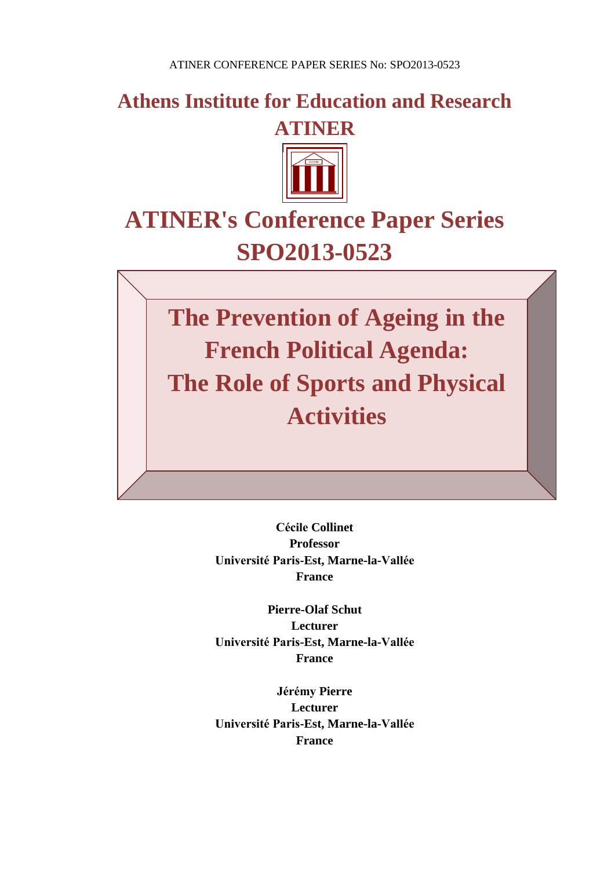**Athens Institute for Education and Research**



# **ATINER's Conference Paper Series SPO2013-0523**

**The Prevention of Ageing in the French Political Agenda: The Role of Sports and Physical Activities**

> **Cécile Collinet Professor Université Paris-Est, Marne-la-Vallée France**

> **Pierre-Olaf Schut Lecturer Université Paris-Est, Marne-la-Vallée France**

> **Jérémy Pierre Lecturer Université Paris-Est, Marne-la-Vallée France**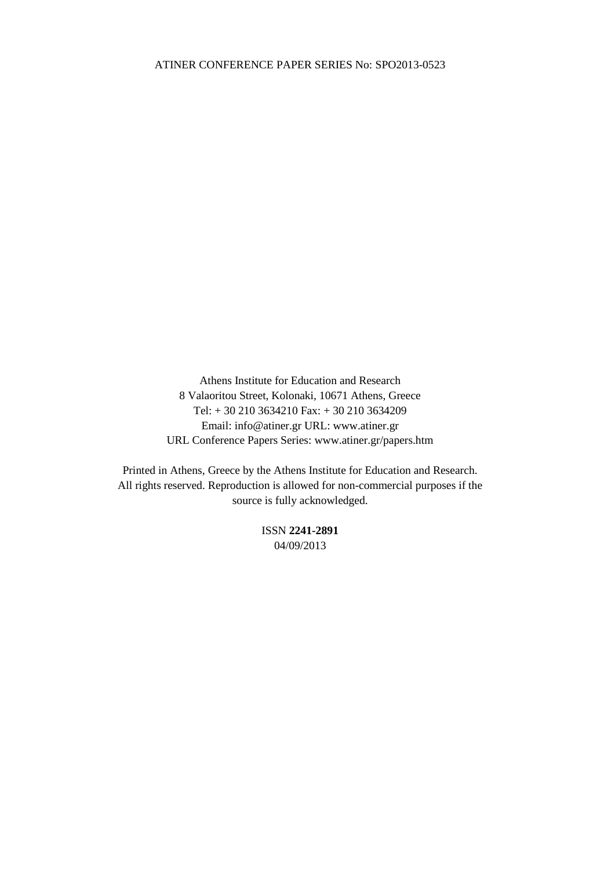Athens Institute for Education and Research 8 Valaoritou Street, Kolonaki, 10671 Athens, Greece Tel: + 30 210 3634210 Fax: + 30 210 3634209 Email: info@atiner.gr URL: www.atiner.gr URL Conference Papers Series: www.atiner.gr/papers.htm

Printed in Athens, Greece by the Athens Institute for Education and Research. All rights reserved. Reproduction is allowed for non-commercial purposes if the source is fully acknowledged.

> ISSN **2241-2891** 04/09/2013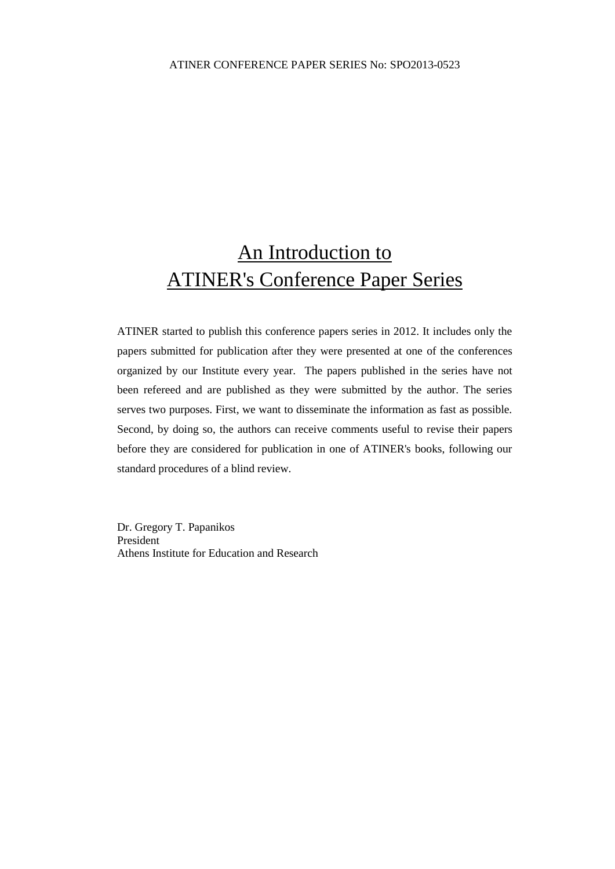## An Introduction to ATINER's Conference Paper Series

ATINER started to publish this conference papers series in 2012. It includes only the papers submitted for publication after they were presented at one of the conferences organized by our Institute every year. The papers published in the series have not been refereed and are published as they were submitted by the author. The series serves two purposes. First, we want to disseminate the information as fast as possible. Second, by doing so, the authors can receive comments useful to revise their papers before they are considered for publication in one of ATINER's books, following our standard procedures of a blind review.

Dr. Gregory T. Papanikos President Athens Institute for Education and Research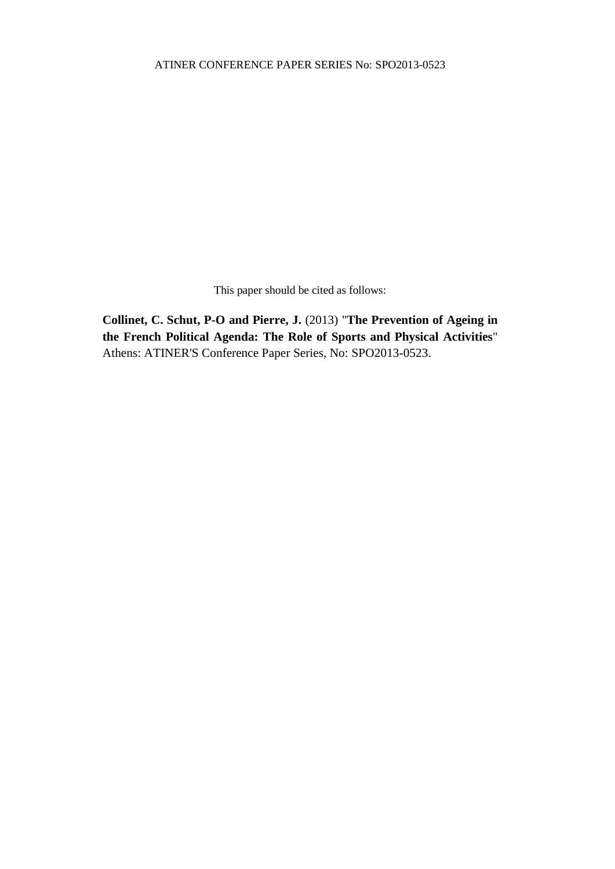This paper should be cited as follows:

**Collinet, C. Schut, P-O and Pierre, J.** (2013) "**The Prevention of Ageing in the French Political Agenda: The Role of Sports and Physical Activities**" Athens: ATINER'S Conference Paper Series, No: SPO2013-0523.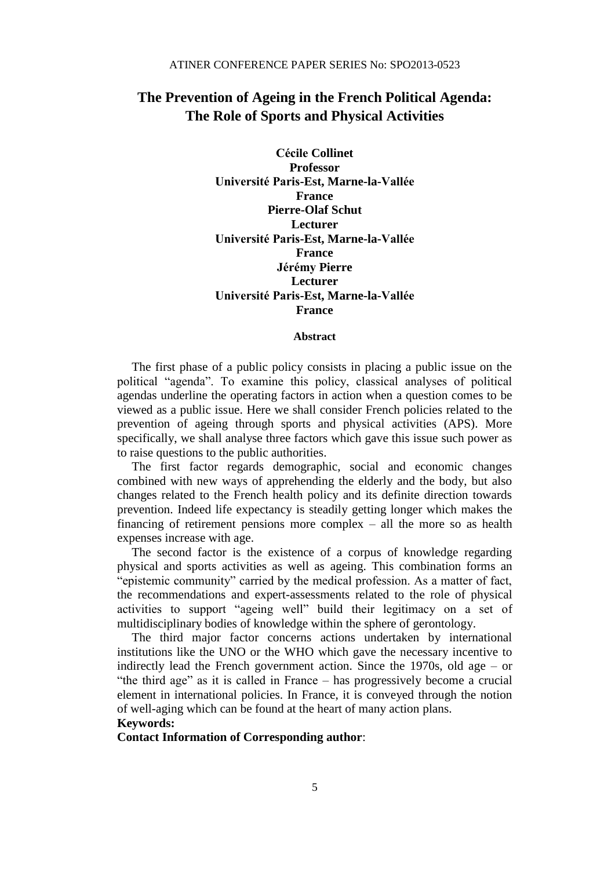### **The Prevention of Ageing in the French Political Agenda: The Role of Sports and Physical Activities**

**Cécile Collinet Professor Université Paris-Est, Marne-la-Vallée France Pierre-Olaf Schut Lecturer Université Paris-Est, Marne-la-Vallée France Jérémy Pierre Lecturer Université Paris-Est, Marne-la-Vallée France**

#### **Abstract**

The first phase of a public policy consists in placing a public issue on the political "agenda". To examine this policy, classical analyses of political agendas underline the operating factors in action when a question comes to be viewed as a public issue. Here we shall consider French policies related to the prevention of ageing through sports and physical activities (APS). More specifically, we shall analyse three factors which gave this issue such power as to raise questions to the public authorities.

The first factor regards demographic, social and economic changes combined with new ways of apprehending the elderly and the body, but also changes related to the French health policy and its definite direction towards prevention. Indeed life expectancy is steadily getting longer which makes the financing of retirement pensions more complex – all the more so as health expenses increase with age.

The second factor is the existence of a corpus of knowledge regarding physical and sports activities as well as ageing. This combination forms an "epistemic community" carried by the medical profession. As a matter of fact, the recommendations and expert-assessments related to the role of physical activities to support "ageing well" build their legitimacy on a set of multidisciplinary bodies of knowledge within the sphere of gerontology.

The third major factor concerns actions undertaken by international institutions like the UNO or the WHO which gave the necessary incentive to indirectly lead the French government action. Since the 1970s, old age – or "the third age" as it is called in France – has progressively become a crucial element in international policies. In France, it is conveyed through the notion of well-aging which can be found at the heart of many action plans.

#### **Keywords:**

**Contact Information of Corresponding author**: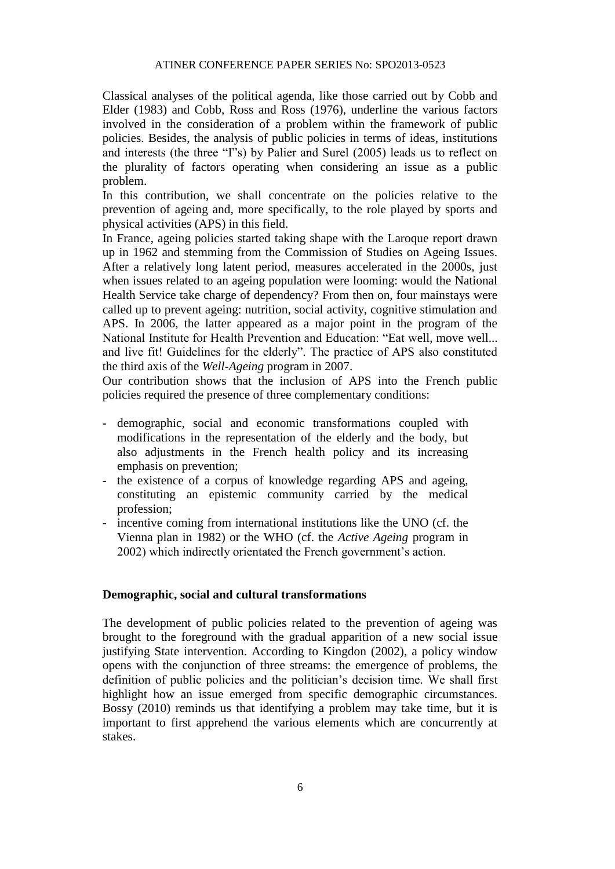Classical analyses of the political agenda, like those carried out by Cobb and Elder (1983) and Cobb, Ross and Ross (1976), underline the various factors involved in the consideration of a problem within the framework of public policies. Besides, the analysis of public policies in terms of ideas, institutions and interests (the three "I"s) by Palier and Surel (2005) leads us to reflect on the plurality of factors operating when considering an issue as a public problem.

In this contribution, we shall concentrate on the policies relative to the prevention of ageing and, more specifically, to the role played by sports and physical activities (APS) in this field.

In France, ageing policies started taking shape with the Laroque report drawn up in 1962 and stemming from the Commission of Studies on Ageing Issues. After a relatively long latent period, measures accelerated in the 2000s, just when issues related to an ageing population were looming: would the National Health Service take charge of dependency? From then on, four mainstays were called up to prevent ageing: nutrition, social activity, cognitive stimulation and APS. In 2006, the latter appeared as a major point in the program of the National Institute for Health Prevention and Education: "Eat well, move well... and live fit! Guidelines for the elderly". The practice of APS also constituted the third axis of the *Well-Ageing* program in 2007.

Our contribution shows that the inclusion of APS into the French public policies required the presence of three complementary conditions:

- demographic, social and economic transformations coupled with modifications in the representation of the elderly and the body, but also adjustments in the French health policy and its increasing emphasis on prevention;
- the existence of a corpus of knowledge regarding APS and ageing, constituting an epistemic community carried by the medical profession;
- incentive coming from international institutions like the UNO (cf. the Vienna plan in 1982) or the WHO (cf. the *Active Ageing* program in 2002) which indirectly orientated the French government's action.

#### **Demographic, social and cultural transformations**

The development of public policies related to the prevention of ageing was brought to the foreground with the gradual apparition of a new social issue justifying State intervention. According to Kingdon (2002), a policy window opens with the conjunction of three streams: the emergence of problems, the definition of public policies and the politician's decision time. We shall first highlight how an issue emerged from specific demographic circumstances. Bossy (2010) reminds us that identifying a problem may take time, but it is important to first apprehend the various elements which are concurrently at stakes.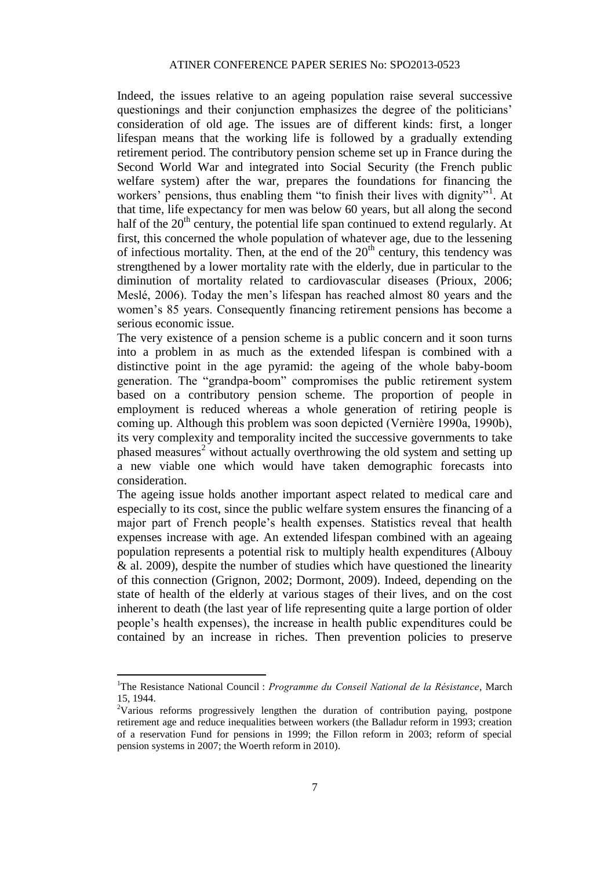Indeed, the issues relative to an ageing population raise several successive questionings and their conjunction emphasizes the degree of the politicians' consideration of old age. The issues are of different kinds: first, a longer lifespan means that the working life is followed by a gradually extending retirement period. The contributory pension scheme set up in France during the Second World War and integrated into Social Security (the French public welfare system) after the war, prepares the foundations for financing the workers' pensions, thus enabling them "to finish their lives with dignity"<sup>1</sup>. At that time, life expectancy for men was below 60 years, but all along the second half of the  $20<sup>th</sup>$  century, the potential life span continued to extend regularly. At first, this concerned the whole population of whatever age, due to the lessening of infectious mortality. Then, at the end of the  $20<sup>th</sup>$  century, this tendency was strengthened by a lower mortality rate with the elderly, due in particular to the diminution of mortality related to cardiovascular diseases (Prioux, 2006; Meslé, 2006). Today the men's lifespan has reached almost 80 years and the women's 85 years. Consequently financing retirement pensions has become a serious economic issue.

The very existence of a pension scheme is a public concern and it soon turns into a problem in as much as the extended lifespan is combined with a distinctive point in the age pyramid: the ageing of the whole baby-boom generation. The "grandpa-boom" compromises the public retirement system based on a contributory pension scheme. The proportion of people in employment is reduced whereas a whole generation of retiring people is coming up. Although this problem was soon depicted (Vernière 1990a, 1990b), its very complexity and temporality incited the successive governments to take phased measures<sup>2</sup> without actually overthrowing the old system and setting up a new viable one which would have taken demographic forecasts into consideration.

The ageing issue holds another important aspect related to medical care and especially to its cost, since the public welfare system ensures the financing of a major part of French people's health expenses. Statistics reveal that health expenses increase with age. An extended lifespan combined with an ageaing population represents a potential risk to multiply health expenditures (Albouy  $\&$  al. 2009), despite the number of studies which have questioned the linearity of this connection (Grignon, 2002; Dormont, 2009). Indeed, depending on the state of health of the elderly at various stages of their lives, and on the cost inherent to death (the last year of life representing quite a large portion of older people's health expenses), the increase in health public expenditures could be contained by an increase in riches. Then prevention policies to preserve

 $\overline{\phantom{a}}$ 

<sup>1</sup>The Resistance National Council : *Programme du Conseil National de la Résistance*, March 15, 1944.

<sup>&</sup>lt;sup>2</sup>Various reforms progressively lengthen the duration of contribution paying, postpone retirement age and reduce inequalities between workers (the Balladur reform in 1993; creation of a reservation Fund for pensions in 1999; the Fillon reform in 2003; reform of special pension systems in 2007; the Woerth reform in 2010).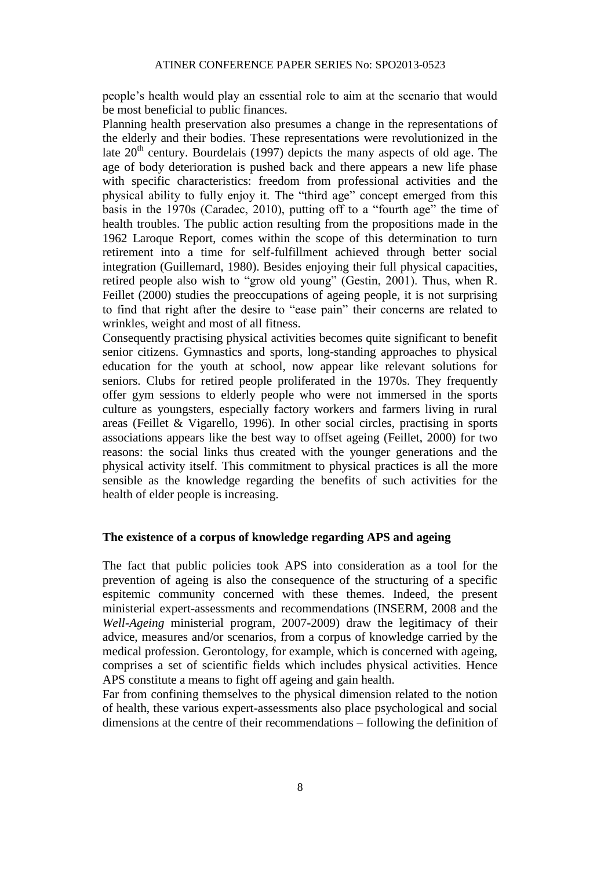people's health would play an essential role to aim at the scenario that would be most beneficial to public finances.

Planning health preservation also presumes a change in the representations of the elderly and their bodies. These representations were revolutionized in the late  $20<sup>th</sup>$  century. Bourdelais (1997) depicts the many aspects of old age. The age of body deterioration is pushed back and there appears a new life phase with specific characteristics: freedom from professional activities and the physical ability to fully enjoy it. The "third age" concept emerged from this basis in the 1970s (Caradec, 2010), putting off to a "fourth age" the time of health troubles. The public action resulting from the propositions made in the 1962 Laroque Report, comes within the scope of this determination to turn retirement into a time for self-fulfillment achieved through better social integration (Guillemard, 1980). Besides enjoying their full physical capacities, retired people also wish to "grow old young" (Gestin, 2001). Thus, when R. Feillet (2000) studies the preoccupations of ageing people, it is not surprising to find that right after the desire to "ease pain" their concerns are related to wrinkles, weight and most of all fitness.

Consequently practising physical activities becomes quite significant to benefit senior citizens. Gymnastics and sports, long-standing approaches to physical education for the youth at school, now appear like relevant solutions for seniors. Clubs for retired people proliferated in the 1970s. They frequently offer gym sessions to elderly people who were not immersed in the sports culture as youngsters, especially factory workers and farmers living in rural areas (Feillet & Vigarello, 1996). In other social circles, practising in sports associations appears like the best way to offset ageing (Feillet, 2000) for two reasons: the social links thus created with the younger generations and the physical activity itself. This commitment to physical practices is all the more sensible as the knowledge regarding the benefits of such activities for the health of elder people is increasing.

#### **The existence of a corpus of knowledge regarding APS and ageing**

The fact that public policies took APS into consideration as a tool for the prevention of ageing is also the consequence of the structuring of a specific espitemic community concerned with these themes. Indeed, the present ministerial expert-assessments and recommendations (INSERM, 2008 and the *Well-Ageing* ministerial program, 2007-2009) draw the legitimacy of their advice, measures and/or scenarios, from a corpus of knowledge carried by the medical profession. Gerontology, for example, which is concerned with ageing, comprises a set of scientific fields which includes physical activities. Hence APS constitute a means to fight off ageing and gain health.

Far from confining themselves to the physical dimension related to the notion of health, these various expert-assessments also place psychological and social dimensions at the centre of their recommendations – following the definition of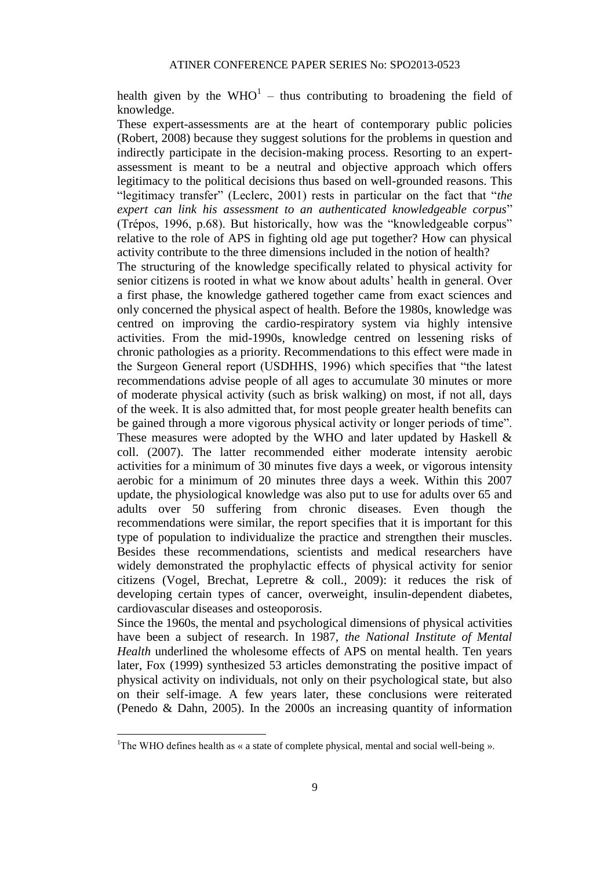health given by the  $WHO<sup>1</sup>$  – thus contributing to broadening the field of knowledge.

These expert-assessments are at the heart of contemporary public policies (Robert, 2008) because they suggest solutions for the problems in question and indirectly participate in the decision-making process. Resorting to an expertassessment is meant to be a neutral and objective approach which offers legitimacy to the political decisions thus based on well-grounded reasons. This "legitimacy transfer" (Leclerc, 2001) rests in particular on the fact that "*the expert can link his assessment to an authenticated knowledgeable corpus*" (Trépos, 1996, p.68). But historically, how was the "knowledgeable corpus" relative to the role of APS in fighting old age put together? How can physical activity contribute to the three dimensions included in the notion of health?

The structuring of the knowledge specifically related to physical activity for senior citizens is rooted in what we know about adults' health in general. Over a first phase, the knowledge gathered together came from exact sciences and only concerned the physical aspect of health. Before the 1980s, knowledge was centred on improving the cardio-respiratory system via highly intensive activities. From the mid-1990s, knowledge centred on lessening risks of chronic pathologies as a priority. Recommendations to this effect were made in the Surgeon General report (USDHHS, 1996) which specifies that "the latest recommendations advise people of all ages to accumulate 30 minutes or more of moderate physical activity (such as brisk walking) on most, if not all, days of the week. It is also admitted that, for most people greater health benefits can be gained through a more vigorous physical activity or longer periods of time". These measures were adopted by the WHO and later updated by Haskell  $\&$ coll. (2007). The latter recommended either moderate intensity aerobic activities for a minimum of 30 minutes five days a week, or vigorous intensity aerobic for a minimum of 20 minutes three days a week. Within this 2007 update, the physiological knowledge was also put to use for adults over 65 and adults over 50 suffering from chronic diseases. Even though the recommendations were similar, the report specifies that it is important for this type of population to individualize the practice and strengthen their muscles. Besides these recommendations, scientists and medical researchers have widely demonstrated the prophylactic effects of physical activity for senior citizens (Vogel, Brechat, Lepretre & coll., 2009): it reduces the risk of developing certain types of cancer, overweight, insulin-dependent diabetes, cardiovascular diseases and osteoporosis.

Since the 1960s, the mental and psychological dimensions of physical activities have been a subject of research. In 1987, *the National Institute of Mental Health* underlined the wholesome effects of APS on mental health. Ten years later, Fox (1999) synthesized 53 articles demonstrating the positive impact of physical activity on individuals, not only on their psychological state, but also on their self-image. A few years later, these conclusions were reiterated (Penedo & Dahn, 2005). In the 2000s an increasing quantity of information

 $\overline{a}$ 

<sup>&</sup>lt;sup>1</sup>The WHO defines health as  $\kappa$  a state of complete physical, mental and social well-being ».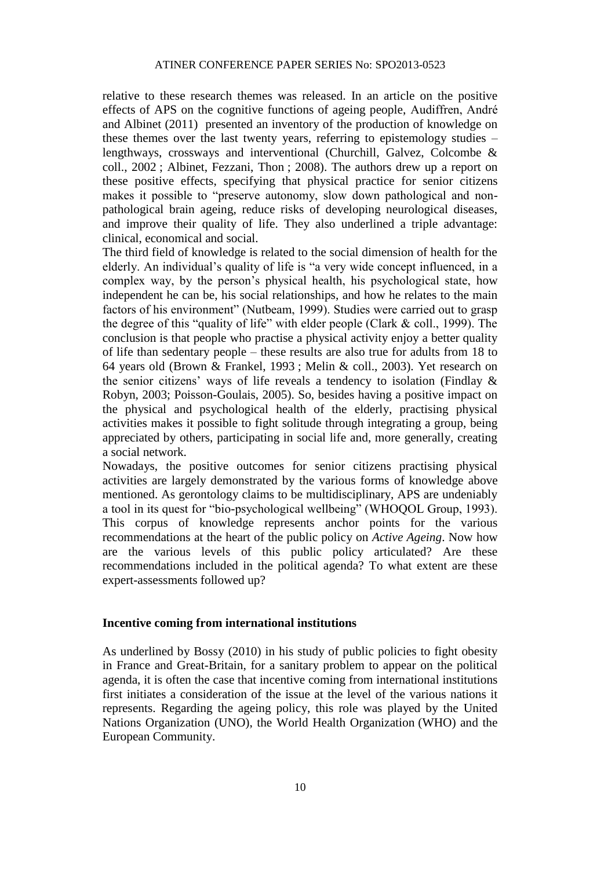relative to these research themes was released. In an article on the positive effects of APS on the cognitive functions of ageing people, Audiffren, André and Albinet (2011) presented an inventory of the production of knowledge on these themes over the last twenty years, referring to epistemology studies – lengthways, crossways and interventional (Churchill, Galvez, Colcombe & coll., 2002 ; Albinet, Fezzani, Thon ; 2008). The authors drew up a report on these positive effects, specifying that physical practice for senior citizens makes it possible to "preserve autonomy, slow down pathological and nonpathological brain ageing, reduce risks of developing neurological diseases, and improve their quality of life. They also underlined a triple advantage: clinical, economical and social.

The third field of knowledge is related to the social dimension of health for the elderly. An individual's quality of life is "a very wide concept influenced, in a complex way, by the person's physical health, his psychological state, how independent he can be, his social relationships, and how he relates to the main factors of his environment" (Nutbeam, 1999). Studies were carried out to grasp the degree of this "quality of life" with elder people (Clark  $\&$  coll., 1999). The conclusion is that people who practise a physical activity enjoy a better quality of life than sedentary people – these results are also true for adults from 18 to 64 years old (Brown & Frankel, 1993 ; Melin & coll., 2003). Yet research on the senior citizens' ways of life reveals a tendency to isolation (Findlay & Robyn, 2003; Poisson-Goulais, 2005). So, besides having a positive impact on the physical and psychological health of the elderly, practising physical activities makes it possible to fight solitude through integrating a group, being appreciated by others, participating in social life and, more generally, creating a social network.

Nowadays, the positive outcomes for senior citizens practising physical activities are largely demonstrated by the various forms of knowledge above mentioned. As gerontology claims to be multidisciplinary, APS are undeniably a tool in its quest for "bio-psychological wellbeing" (WHOQOL Group, 1993). This corpus of knowledge represents anchor points for the various recommendations at the heart of the public policy on *Active Ageing*. Now how are the various levels of this public policy articulated? Are these recommendations included in the political agenda? To what extent are these expert-assessments followed up?

#### **Incentive coming from international institutions**

As underlined by Bossy (2010) in his study of public policies to fight obesity in France and Great-Britain, for a sanitary problem to appear on the political agenda, it is often the case that incentive coming from international institutions first initiates a consideration of the issue at the level of the various nations it represents. Regarding the ageing policy, this role was played by the United Nations Organization (UNO), the World Health Organization (WHO) and the European Community.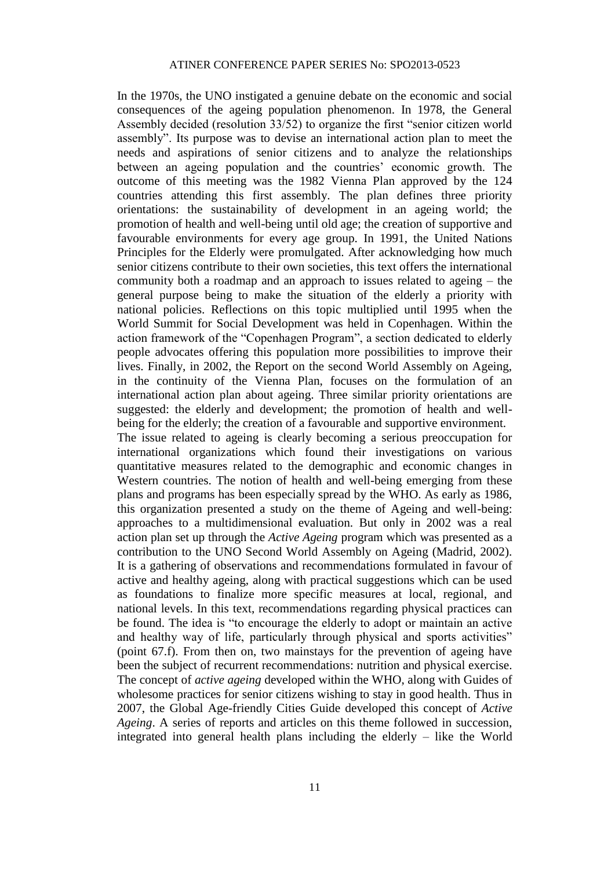In the 1970s, the UNO instigated a genuine debate on the economic and social consequences of the ageing population phenomenon. In 1978, the General Assembly decided (resolution 33/52) to organize the first "senior citizen world assembly". Its purpose was to devise an international action plan to meet the needs and aspirations of senior citizens and to analyze the relationships between an ageing population and the countries' economic growth. The outcome of this meeting was the 1982 Vienna Plan approved by the 124 countries attending this first assembly. The plan defines three priority orientations: the sustainability of development in an ageing world; the promotion of health and well-being until old age; the creation of supportive and favourable environments for every age group. In 1991, the United Nations Principles for the Elderly were promulgated. After acknowledging how much senior citizens contribute to their own societies, this text offers the international community both a roadmap and an approach to issues related to ageing – the general purpose being to make the situation of the elderly a priority with national policies. Reflections on this topic multiplied until 1995 when the World Summit for Social Development was held in Copenhagen. Within the action framework of the "Copenhagen Program", a section dedicated to elderly people advocates offering this population more possibilities to improve their lives. Finally, in 2002, the Report on the second World Assembly on Ageing, in the continuity of the Vienna Plan, focuses on the formulation of an international action plan about ageing. Three similar priority orientations are suggested: the elderly and development; the promotion of health and wellbeing for the elderly; the creation of a favourable and supportive environment. The issue related to ageing is clearly becoming a serious preoccupation for international organizations which found their investigations on various quantitative measures related to the demographic and economic changes in Western countries. The notion of health and well-being emerging from these plans and programs has been especially spread by the WHO. As early as 1986, this organization presented a study on the theme of Ageing and well-being: approaches to a multidimensional evaluation. But only in 2002 was a real action plan set up through the *Active Ageing* program which was presented as a contribution to the UNO Second World Assembly on Ageing (Madrid, 2002). It is a gathering of observations and recommendations formulated in favour of active and healthy ageing, along with practical suggestions which can be used as foundations to finalize more specific measures at local, regional, and national levels. In this text, recommendations regarding physical practices can be found. The idea is "to encourage the elderly to adopt or maintain an active and healthy way of life, particularly through physical and sports activities" (point 67.f). From then on, two mainstays for the prevention of ageing have been the subject of recurrent recommendations: nutrition and physical exercise. The concept of *active ageing* developed within the WHO, along with Guides of wholesome practices for senior citizens wishing to stay in good health. Thus in 2007, the Global Age-friendly Cities Guide developed this concept of *Active Ageing*. A series of reports and articles on this theme followed in succession, integrated into general health plans including the elderly – like the World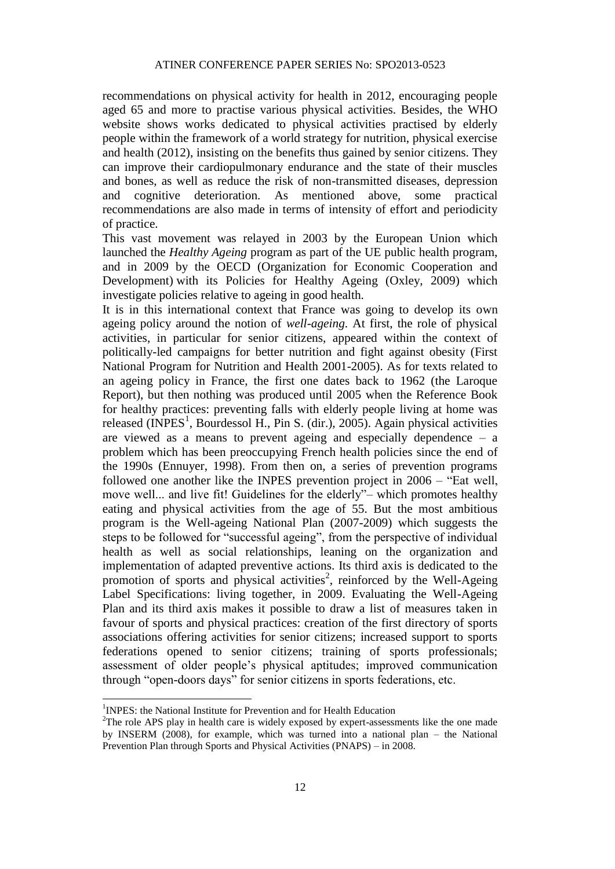recommendations on physical activity for health in 2012, encouraging people aged 65 and more to practise various physical activities. Besides, the WHO website shows works dedicated to physical activities practised by elderly people within the framework of a world strategy for nutrition, physical exercise and health (2012), insisting on the benefits thus gained by senior citizens. They can improve their cardiopulmonary endurance and the state of their muscles and bones, as well as reduce the risk of non-transmitted diseases, depression and cognitive deterioration. As mentioned above, some practical recommendations are also made in terms of intensity of effort and periodicity of practice.

This vast movement was relayed in 2003 by the European Union which launched the *Healthy Ageing* program as part of the UE public health program, and in 2009 by the OECD (Organization for Economic Cooperation and Development) with its Policies for Healthy Ageing (Oxley, 2009) which investigate policies relative to ageing in good health.

It is in this international context that France was going to develop its own ageing policy around the notion of *well-ageing*. At first, the role of physical activities, in particular for senior citizens, appeared within the context of politically-led campaigns for better nutrition and fight against obesity (First National Program for Nutrition and Health 2001-2005). As for texts related to an ageing policy in France, the first one dates back to 1962 (the Laroque Report), but then nothing was produced until 2005 when the Reference Book for healthy practices: preventing falls with elderly people living at home was released (INPES<sup>1</sup>, Bourdessol H., Pin S. (dir.), 2005). Again physical activities are viewed as a means to prevent ageing and especially dependence  $-$  a problem which has been preoccupying French health policies since the end of the 1990s (Ennuyer, 1998). From then on, a series of prevention programs followed one another like the INPES prevention project in 2006 – "Eat well, move well... and live fit! Guidelines for the elderly"– which promotes healthy eating and physical activities from the age of 55. But the most ambitious program is the Well-ageing National Plan (2007-2009) which suggests the steps to be followed for "successful ageing", from the perspective of individual health as well as social relationships, leaning on the organization and implementation of adapted preventive actions. Its third axis is dedicated to the promotion of sports and physical activities<sup>2</sup>, reinforced by the Well-Ageing Label Specifications: living together, in 2009. Evaluating the Well-Ageing Plan and its third axis makes it possible to draw a list of measures taken in favour of sports and physical practices: creation of the first directory of sports associations offering activities for senior citizens; increased support to sports federations opened to senior citizens; training of sports professionals; assessment of older people's physical aptitudes; improved communication through "open-doors days" for senior citizens in sports federations, etc.

 $\overline{a}$ 

<sup>&</sup>lt;sup>1</sup>INPES: the National Institute for Prevention and for Health Education

<sup>&</sup>lt;sup>2</sup>The role APS play in health care is widely exposed by expert-assessments like the one made by INSERM (2008), for example, which was turned into a national plan – the National Prevention Plan through Sports and Physical Activities (PNAPS) – in 2008.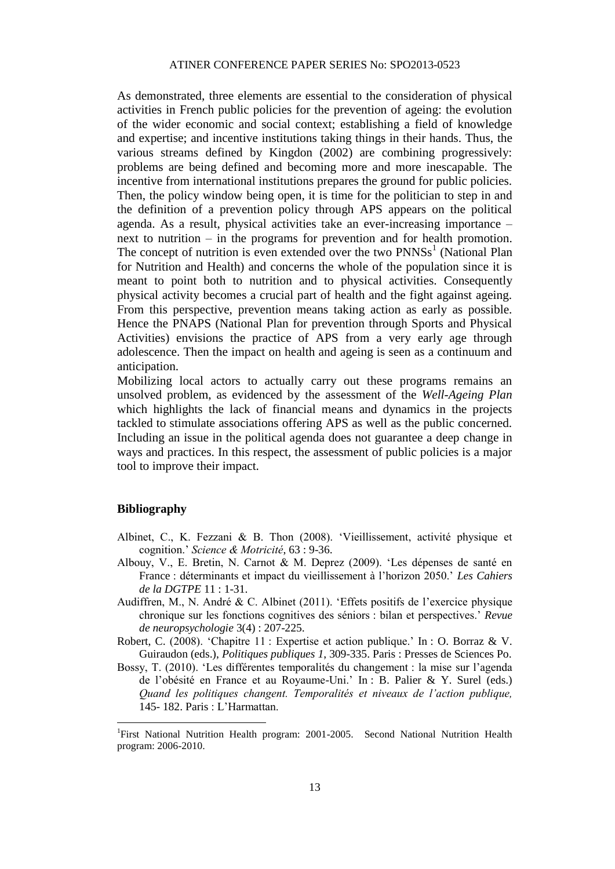As demonstrated, three elements are essential to the consideration of physical activities in French public policies for the prevention of ageing: the evolution of the wider economic and social context; establishing a field of knowledge and expertise; and incentive institutions taking things in their hands. Thus, the various streams defined by Kingdon (2002) are combining progressively: problems are being defined and becoming more and more inescapable. The incentive from international institutions prepares the ground for public policies. Then, the policy window being open, it is time for the politician to step in and the definition of a prevention policy through APS appears on the political agenda. As a result, physical activities take an ever-increasing importance – next to nutrition – in the programs for prevention and for health promotion. The concept of nutrition is even extended over the two  $PNNS<sup>1</sup>$  (National Plan for Nutrition and Health) and concerns the whole of the population since it is meant to point both to nutrition and to physical activities. Consequently physical activity becomes a crucial part of health and the fight against ageing. From this perspective, prevention means taking action as early as possible. Hence the PNAPS (National Plan for prevention through Sports and Physical Activities) envisions the practice of APS from a very early age through adolescence. Then the impact on health and ageing is seen as a continuum and anticipation.

Mobilizing local actors to actually carry out these programs remains an unsolved problem, as evidenced by the assessment of the *Well-Ageing Plan* which highlights the lack of financial means and dynamics in the projects tackled to stimulate associations offering APS as well as the public concerned. Including an issue in the political agenda does not guarantee a deep change in ways and practices. In this respect, the assessment of public policies is a major tool to improve their impact.

#### **Bibliography**

 $\overline{\phantom{a}}$ 

- Albinet, C., K. Fezzani & B. Thon (2008). 'Vieillissement, activité physique et cognition.' *Science & Motricité*, 63 : 9-36.
- Albouy, V., E. Bretin, N. Carnot & M. Deprez (2009). 'Les dépenses de santé en France : déterminants et impact du vieillissement à l'horizon 2050.' *Les Cahiers de la DGTPE* 11 : 1-31.
- Audiffren, M., N. André & C. Albinet (2011). 'Effets positifs de l'exercice physique chronique sur les fonctions cognitives des séniors : bilan et perspectives.' *Revue de neuropsychologie* 3(4) : 207-225.
- Robert, C. (2008). 'Chapitre 11 : Expertise et action publique.' In : O. Borraz & V. Guiraudon (eds.), *Politiques publiques 1*, 309-335. Paris : Presses de Sciences Po.
- Bossy, T. (2010). 'Les différentes temporalités du changement : la mise sur l'agenda de l'obésité en France et au Royaume-Uni.' In : B. Palier & Y. Surel (eds.) *Quand les politiques changent. Temporalités et niveaux de l'action publique,*  145- 182. Paris : L'Harmattan.

<sup>&</sup>lt;sup>1</sup>First National Nutrition Health program: 2001-2005. Second National Nutrition Health program: 2006-2010.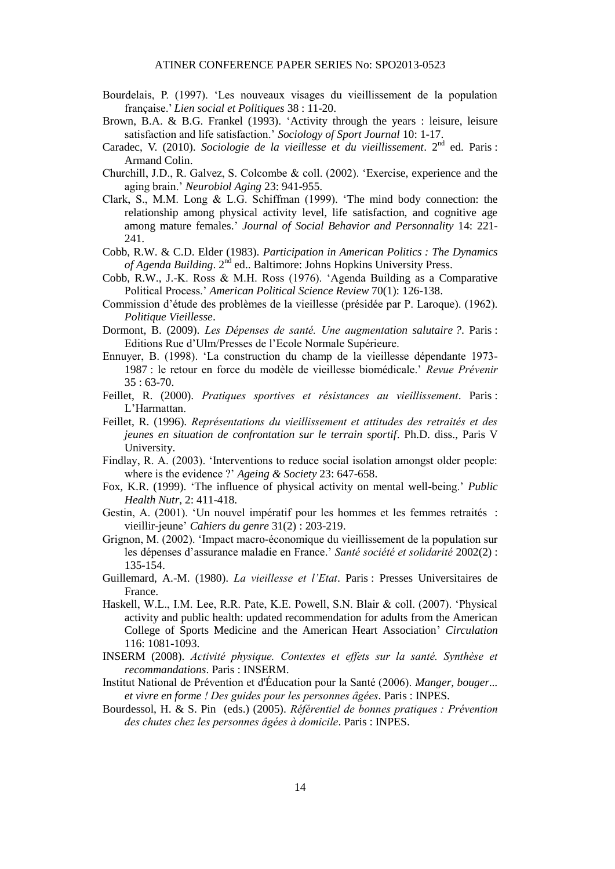#### ATINER CONFERENCE PAPER SERIES No: SPO2013-0523

- Bourdelais, P. (1997). 'Les nouveaux visages du vieillissement de la population française.' *Lien social et Politiques* 38 : 11-20.
- Brown, B.A. & B.G. Frankel (1993). 'Activity through the years : leisure, leisure satisfaction and life satisfaction.' *Sociology of Sport Journal* 10: 1-17.
- Caradec, V. (2010). Sociologie de la vieillesse et du vieillissement. 2<sup>nd</sup> ed. Paris : Armand Colin.
- Churchill, J.D., R. Galvez, S. Colcombe & coll. (2002). 'Exercise, experience and the aging brain.' *Neurobiol Aging* 23: 941-955.
- Clark, S., M.M. Long & L.G. Schiffman (1999). 'The mind body connection: the relationship among physical activity level, life satisfaction, and cognitive age among mature females.' *Journal of Social Behavior and Personnality* 14: 221- 241.
- Cobb, R.W. & C.D. Elder (1983). *Participation in American Politics : The Dynamics*  of Agenda Building. 2<sup>nd</sup> ed.. Baltimore: Johns Hopkins University Press.
- Cobb, R.W., J.-K. Ross & M.H. Ross (1976). 'Agenda Building as a Comparative Political Process.' *American Political Science Review* 70(1): 126-138.
- Commission d'étude des problèmes de la vieillesse (présidée par P. Laroque). (1962). *Politique Vieillesse*.
- Dormont, B. (2009). *Les Dépenses de santé. Une augmentation salutaire ?*. Paris : Editions Rue d'Ulm/Presses de l'Ecole Normale Supérieure.
- Ennuyer, B. (1998). 'La construction du champ de la vieillesse dépendante 1973- 1987 : le retour en force du modèle de vieillesse biomédicale.' *Revue Prévenir*  $35 : 63 - 70$ .
- Feillet, R. (2000). *Pratiques sportives et résistances au vieillissement*. Paris : L'Harmattan.
- Feillet, R. (1996). *Représentations du vieillissement et attitudes des retraités et des jeunes en situation de confrontation sur le terrain sportif*. Ph.D. diss., Paris V University.
- Findlay, R. A. (2003). 'Interventions to reduce social isolation amongst older people: where is the evidence ?' *Ageing & Society* 23: 647-658.
- Fox, K.R. (1999). 'The influence of physical activity on mental well-being.' *Public Health Nutr*, 2: 411-418.
- Gestin, A. (2001). 'Un nouvel impératif pour les hommes et les femmes retraités : vieillir-jeune' *Cahiers du genre* 31(2) : 203-219.
- Grignon, M. (2002). 'Impact macro-économique du vieillissement de la population sur les dépenses d'assurance maladie en France.' *Santé société et solidarité* 2002(2) : 135-154.
- Guillemard, A.-M. (1980). *La vieillesse et l'Etat*. Paris : Presses Universitaires de France.
- Haskell, W.L., I.M. Lee, R.R. Pate, K.E. Powell, S.N. Blair & coll. (2007). 'Physical activity and public health: updated recommendation for adults from the American College of Sports Medicine and the American Heart Association' *Circulation* 116: 1081-1093.
- INSERM (2008). *Activité physique. Contextes et effets sur la santé. Synthèse et recommandations*. Paris : INSERM.
- Institut National de Prévention et d'Éducation pour la Santé (2006). *Manger, bouger... et vivre en forme ! Des guides pour les personnes âgées*. Paris : INPES.
- Bourdessol, H. & S. Pin (eds.) (2005). *Référentiel de bonnes pratiques : Prévention des chutes chez les personnes âgées à domicile*. Paris : INPES.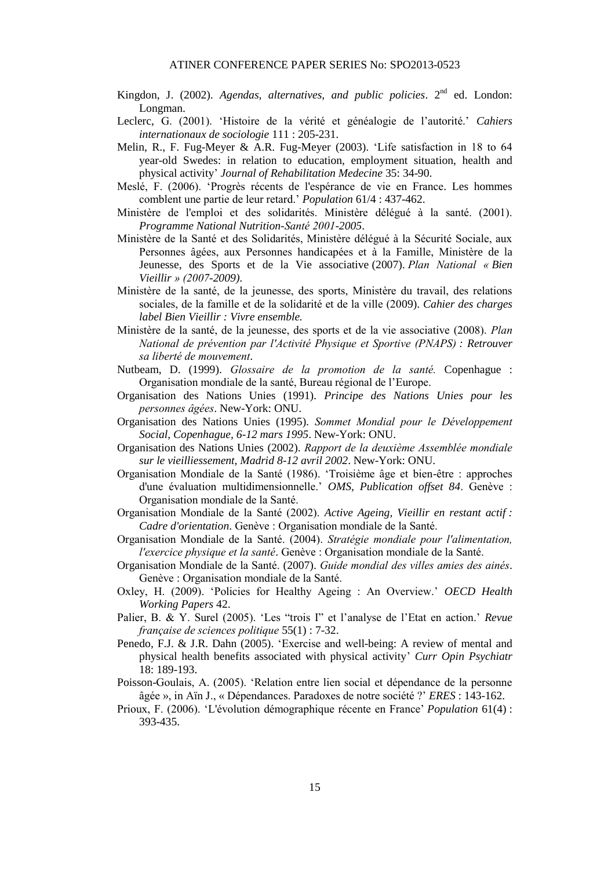- Kingdon, J. (2002). *Agendas, alternatives, and public policies*. 2<sup>nd</sup> ed. London: Longman.
- Leclerc, G. (2001). 'Histoire de la vérité et généalogie de l'autorité.' *Cahiers internationaux de sociologie* 111 : 205-231.
- Melin, R., F. Fug-Meyer & A.R. Fug-Meyer (2003). 'Life satisfaction in 18 to 64 year-old Swedes: in relation to education, employment situation, health and physical activity' *Journal of Rehabilitation Medecine* 35: 34-90.
- Meslé, F. (2006). 'Progrès récents de l'espérance de vie en France. Les hommes comblent une partie de leur retard.' *Population* 61/4 : 437-462.
- Ministère de l'emploi et des solidarités. Ministère délégué à la santé. (2001). *Programme National Nutrition-Santé 2001-2005*.
- Ministère de la Santé et des Solidarités, Ministère délégué à la Sécurité Sociale, aux Personnes âgées, aux Personnes handicapées et à la Famille, Ministère de la Jeunesse, des Sports et de la Vie associative (2007). *Plan National « Bien Vieillir » (2007-2009)*.
- Ministère de la santé, de la jeunesse, des sports, Ministère du travail, des relations sociales, de la famille et de la solidarité et de la ville (2009). *Cahier des charges label Bien Vieillir : Vivre ensemble.*
- Ministère de la santé, de la jeunesse, des sports et de la vie associative (2008). *Plan National de prévention par l'Activité Physique et Sportive (PNAPS) : Retrouver sa liberté de mouvement*.
- Nutbeam, D. (1999). *Glossaire de la promotion de la santé.* Copenhague : Organisation mondiale de la santé, Bureau régional de l'Europe.
- Organisation des Nations Unies (1991). *Principe des Nations Unies pour les personnes âgées*. New-York: ONU.
- Organisation des Nations Unies (1995). *Sommet Mondial pour le Développement Social, Copenhague, 6-12 mars 1995*. New-York: ONU.
- Organisation des Nations Unies (2002). *Rapport de la deuxième Assemblée mondiale sur le vieilliessement, Madrid 8-12 avril 2002*. New-York: ONU.
- Organisation Mondiale de la Santé (1986). 'Troisième âge et bien-être : approches d'une évaluation multidimensionnelle.' *OMS, Publication offset 84*. Genève : Organisation mondiale de la Santé.
- Organisation Mondiale de la Santé (2002). *Active Ageing, Vieillir en restant actif : Cadre d'orientation*. Genève : Organisation mondiale de la Santé.
- Organisation Mondiale de la Santé. (2004). *Stratégie mondiale pour l'alimentation, l'exercice physique et la santé*. Genève : Organisation mondiale de la Santé.
- Organisation Mondiale de la Santé. (2007). *Guide mondial des villes amies des ainés*. Genève : Organisation mondiale de la Santé.
- Oxley, H. (2009). 'Policies for Healthy Ageing : An Overview.' *OECD Health Working Papers* 42.
- Palier, B. & Y. Surel (2005). 'Les "trois I" et l'analyse de l'Etat en action.' *Revue française de sciences politique* 55(1) : 7-32.
- Penedo, F.J. & J.R. Dahn (2005). 'Exercise and well-being: A review of mental and physical health benefits associated with physical activity' *Curr Opin Psychiatr* 18: 189-193.
- Poisson-Goulais, A. (2005). 'Relation entre lien social et dépendance de la personne âgée », in Aïn J., « Dépendances. Paradoxes de notre société ?' *ERES* : 143-162.
- Prioux, F. (2006). 'L'évolution démographique récente en France' *Population* 61(4) : 393-435.